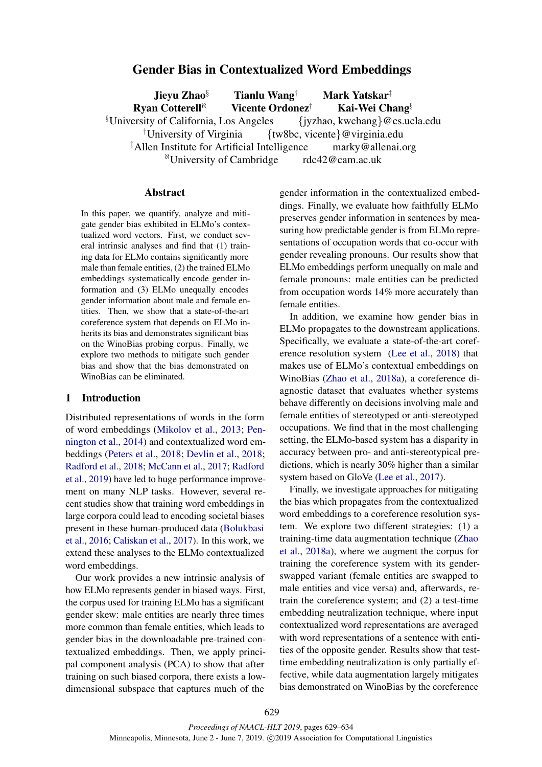# Gender Bias in Contextualized Word Embeddings

Jieyu Zhao§ Tianlu Wang† Mark Yatskar‡ Ryan Cotterell<sup> $\aleph$ </sup> Vicente Ordonez<sup>†</sup> Kai-Wei Chang<sup>§</sup>  $\{\text{V}$ University of California, Los Angeles  $\{\text{iyzhao}, \text{kwchanging}\}\$ @cs.ucla.edu <sup>†</sup>University of Virginia  $\{tw8bc, vicente\}$  @virginia.edu ‡Allen Institute for Artificial Intelligence marky@allenai.org <sup>8</sup>University of Cambridge  $rdc42@cam.ac.uk$ 

#### Abstract

In this paper, we quantify, analyze and mitigate gender bias exhibited in ELMo's contextualized word vectors. First, we conduct several intrinsic analyses and find that (1) training data for ELMo contains significantly more male than female entities, (2) the trained ELMo embeddings systematically encode gender information and (3) ELMo unequally encodes gender information about male and female entities. Then, we show that a state-of-the-art coreference system that depends on ELMo inherits its bias and demonstrates significant bias on the WinoBias probing corpus. Finally, we explore two methods to mitigate such gender bias and show that the bias demonstrated on WinoBias can be eliminated.

#### 1 Introduction

Distributed representations of words in the form of word embeddings [\(Mikolov et al.,](#page-4-0) [2013;](#page-4-0) [Pen](#page-4-1)[nington et al.,](#page-4-1) [2014\)](#page-4-1) and contextualized word embeddings [\(Peters et al.,](#page-4-2) [2018;](#page-4-2) [Devlin et al.,](#page-4-3) [2018;](#page-4-3) [Radford et al.,](#page-4-4) [2018;](#page-4-4) [McCann et al.,](#page-4-5) [2017;](#page-4-5) [Radford](#page-4-6) [et al.,](#page-4-6) [2019\)](#page-4-6) have led to huge performance improvement on many NLP tasks. However, several recent studies show that training word embeddings in large corpora could lead to encoding societal biases present in these human-produced data [\(Bolukbasi](#page-4-7) [et al.,](#page-4-7) [2016;](#page-4-7) [Caliskan et al.,](#page-4-8) [2017\)](#page-4-8). In this work, we extend these analyses to the ELMo contextualized word embeddings.

Our work provides a new intrinsic analysis of how ELMo represents gender in biased ways. First, the corpus used for training ELMo has a significant gender skew: male entities are nearly three times more common than female entities, which leads to gender bias in the downloadable pre-trained contextualized embeddings. Then, we apply principal component analysis (PCA) to show that after training on such biased corpora, there exists a lowdimensional subspace that captures much of the

gender information in the contextualized embeddings. Finally, we evaluate how faithfully ELMo preserves gender information in sentences by measuring how predictable gender is from ELMo representations of occupation words that co-occur with gender revealing pronouns. Our results show that ELMo embeddings perform unequally on male and female pronouns: male entities can be predicted from occupation words 14% more accurately than female entities.

In addition, we examine how gender bias in ELMo propagates to the downstream applications. Specifically, we evaluate a state-of-the-art coreference resolution system [\(Lee et al.,](#page-4-9) [2018\)](#page-4-9) that makes use of ELMo's contextual embeddings on WinoBias [\(Zhao et al.,](#page-5-0) [2018a\)](#page-5-0), a coreference diagnostic dataset that evaluates whether systems behave differently on decisions involving male and female entities of stereotyped or anti-stereotyped occupations. We find that in the most challenging setting, the ELMo-based system has a disparity in accuracy between pro- and anti-stereotypical predictions, which is nearly 30% higher than a similar system based on GloVe [\(Lee et al.,](#page-4-10) [2017\)](#page-4-10).

Finally, we investigate approaches for mitigating the bias which propagates from the contextualized word embeddings to a coreference resolution system. We explore two different strategies: (1) a training-time data augmentation technique [\(Zhao](#page-5-0) [et al.,](#page-5-0) [2018a\)](#page-5-0), where we augment the corpus for training the coreference system with its genderswapped variant (female entities are swapped to male entities and vice versa) and, afterwards, retrain the coreference system; and (2) a test-time embedding neutralization technique, where input contextualized word representations are averaged with word representations of a sentence with entities of the opposite gender. Results show that testtime embedding neutralization is only partially effective, while data augmentation largely mitigates bias demonstrated on WinoBias by the coreference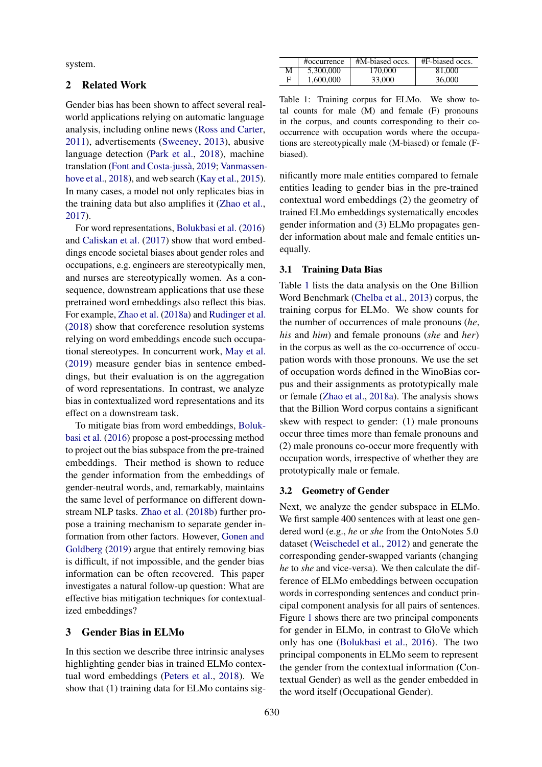system.

## 2 Related Work

Gender bias has been shown to affect several realworld applications relying on automatic language analysis, including online news [\(Ross and Carter,](#page-4-11) [2011\)](#page-4-11), advertisements [\(Sweeney,](#page-5-1) [2013\)](#page-5-1), abusive language detection [\(Park et al.,](#page-4-12) [2018\)](#page-4-12), machine translation (Font and Costa-jussà, [2019;](#page-4-13) [Vanmassen](#page-5-2)[hove et al.,](#page-5-2) [2018\)](#page-5-2), and web search [\(Kay et al.,](#page-4-14) [2015\)](#page-4-14). In many cases, a model not only replicates bias in the training data but also amplifies it [\(Zhao et al.,](#page-5-3) [2017\)](#page-5-3).

For word representations, [Bolukbasi et al.](#page-4-7) [\(2016\)](#page-4-7) and [Caliskan et al.](#page-4-8) [\(2017\)](#page-4-8) show that word embeddings encode societal biases about gender roles and occupations, e.g. engineers are stereotypically men, and nurses are stereotypically women. As a consequence, downstream applications that use these pretrained word embeddings also reflect this bias. For example, [Zhao et al.](#page-5-0) [\(2018a\)](#page-5-0) and [Rudinger et al.](#page-4-15) [\(2018\)](#page-4-15) show that coreference resolution systems relying on word embeddings encode such occupational stereotypes. In concurrent work, [May et al.](#page-4-16) [\(2019\)](#page-4-16) measure gender bias in sentence embeddings, but their evaluation is on the aggregation of word representations. In contrast, we analyze bias in contextualized word representations and its effect on a downstream task.

To mitigate bias from word embeddings, [Boluk](#page-4-7)[basi et al.](#page-4-7) [\(2016\)](#page-4-7) propose a post-processing method to project out the bias subspace from the pre-trained embeddings. Their method is shown to reduce the gender information from the embeddings of gender-neutral words, and, remarkably, maintains the same level of performance on different downstream NLP tasks. [Zhao et al.](#page-5-4) [\(2018b\)](#page-5-4) further propose a training mechanism to separate gender information from other factors. However, [Gonen and](#page-4-17) [Goldberg](#page-4-17) [\(2019\)](#page-4-17) argue that entirely removing bias is difficult, if not impossible, and the gender bias information can be often recovered. This paper investigates a natural follow-up question: What are effective bias mitigation techniques for contextualized embeddings?

### 3 Gender Bias in ELMo

In this section we describe three intrinsic analyses highlighting gender bias in trained ELMo contextual word embeddings [\(Peters et al.,](#page-4-2) [2018\)](#page-4-2). We show that (1) training data for ELMo contains sig-

<span id="page-1-0"></span>

|   | #occurrence | #M-biased occs. | #F-biased occs. |
|---|-------------|-----------------|-----------------|
| М | 5,300,000   | 170,000         | 81,000          |
| Е | 1,600,000   | 33,000          | 36,000          |

Table 1: Training corpus for ELMo. We show total counts for male (M) and female (F) pronouns in the corpus, and counts corresponding to their cooccurrence with occupation words where the occupations are stereotypically male (M-biased) or female (Fbiased).

nificantly more male entities compared to female entities leading to gender bias in the pre-trained contextual word embeddings (2) the geometry of trained ELMo embeddings systematically encodes gender information and (3) ELMo propagates gender information about male and female entities unequally.

#### 3.1 Training Data Bias

Table [1](#page-1-0) lists the data analysis on the One Billion Word Benchmark [\(Chelba et al.,](#page-4-18) [2013\)](#page-4-18) corpus, the training corpus for ELMo. We show counts for the number of occurrences of male pronouns (*he*, *his* and *him*) and female pronouns (*she* and *her*) in the corpus as well as the co-occurrence of occupation words with those pronouns. We use the set of occupation words defined in the WinoBias corpus and their assignments as prototypically male or female [\(Zhao et al.,](#page-5-0) [2018a\)](#page-5-0). The analysis shows that the Billion Word corpus contains a significant skew with respect to gender: (1) male pronouns occur three times more than female pronouns and (2) male pronouns co-occur more frequently with occupation words, irrespective of whether they are prototypically male or female.

#### 3.2 Geometry of Gender

Next, we analyze the gender subspace in ELMo. We first sample 400 sentences with at least one gendered word (e.g., *he* or *she* from the OntoNotes 5.0 dataset [\(Weischedel et al.,](#page-5-5) [2012\)](#page-5-5) and generate the corresponding gender-swapped variants (changing *he* to *she* and vice-versa). We then calculate the difference of ELMo embeddings between occupation words in corresponding sentences and conduct principal component analysis for all pairs of sentences. Figure [1](#page-2-0) shows there are two principal components for gender in ELMo, in contrast to GloVe which only has one [\(Bolukbasi et al.,](#page-4-7) [2016\)](#page-4-7). The two principal components in ELMo seem to represent the gender from the contextual information (Contextual Gender) as well as the gender embedded in the word itself (Occupational Gender).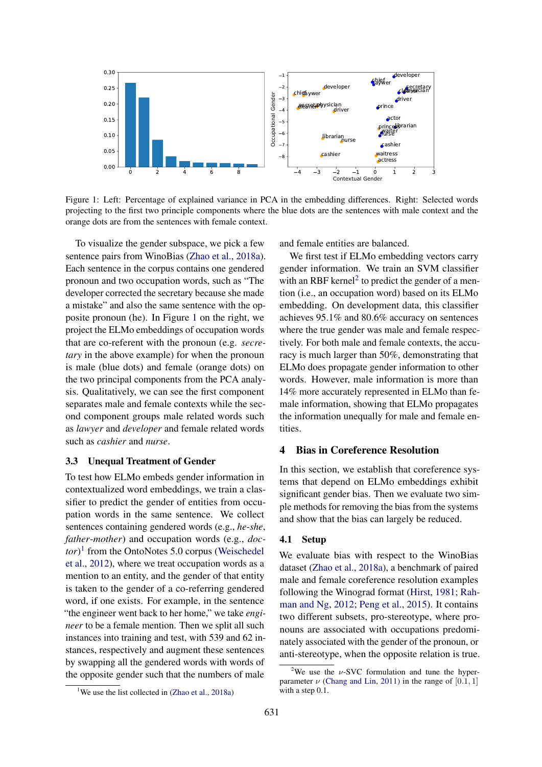<span id="page-2-0"></span>

Figure 1: Left: Percentage of explained variance in PCA in the embedding differences. Right: Selected words projecting to the first two principle components where the blue dots are the sentences with male context and the orange dots are from the sentences with female context.

To visualize the gender subspace, we pick a few sentence pairs from WinoBias [\(Zhao et al.,](#page-5-0) [2018a\)](#page-5-0). Each sentence in the corpus contains one gendered pronoun and two occupation words, such as "The developer corrected the secretary because she made a mistake" and also the same sentence with the opposite pronoun (he). In Figure [1](#page-2-0) on the right, we project the ELMo embeddings of occupation words that are co-referent with the pronoun (e.g. *secretary* in the above example) for when the pronoun is male (blue dots) and female (orange dots) on the two principal components from the PCA analysis. Qualitatively, we can see the first component separates male and female contexts while the second component groups male related words such as *lawyer* and *developer* and female related words such as *cashier* and *nurse*.

### 3.3 Unequal Treatment of Gender

To test how ELMo embeds gender information in contextualized word embeddings, we train a classifier to predict the gender of entities from occupation words in the same sentence. We collect sentences containing gendered words (e.g., *he*-*she*, *father*-*mother*) and occupation words (e.g., *doctor*) [1](#page-2-1) from the OntoNotes 5.0 corpus [\(Weischedel](#page-5-5) [et al.,](#page-5-5) [2012\)](#page-5-5), where we treat occupation words as a mention to an entity, and the gender of that entity is taken to the gender of a co-referring gendered word, if one exists. For example, in the sentence "the engineer went back to her home," we take *engineer* to be a female mention. Then we split all such instances into training and test, with 539 and 62 instances, respectively and augment these sentences by swapping all the gendered words with words of the opposite gender such that the numbers of male and female entities are balanced.

We first test if ELMo embedding vectors carry gender information. We train an SVM classifier with an RBF kernel<sup>[2](#page-2-2)</sup> to predict the gender of a mention (i.e., an occupation word) based on its ELMo embedding. On development data, this classifier achieves 95.1% and 80.6% accuracy on sentences where the true gender was male and female respectively. For both male and female contexts, the accuracy is much larger than 50%, demonstrating that ELMo does propagate gender information to other words. However, male information is more than 14% more accurately represented in ELMo than female information, showing that ELMo propagates the information unequally for male and female entities.

#### 4 Bias in Coreference Resolution

In this section, we establish that coreference systems that depend on ELMo embeddings exhibit significant gender bias. Then we evaluate two simple methods for removing the bias from the systems and show that the bias can largely be reduced.

#### 4.1 Setup

We evaluate bias with respect to the WinoBias dataset [\(Zhao et al.,](#page-5-0) [2018a\)](#page-5-0), a benchmark of paired male and female coreference resolution examples following the Winograd format [\(Hirst,](#page-4-19) [1981;](#page-4-19) [Rah](#page-4-20)[man and Ng,](#page-4-20) [2012;](#page-4-20) [Peng et al.,](#page-4-21) [2015\)](#page-4-21). It contains two different subsets, pro-stereotype, where pronouns are associated with occupations predominately associated with the gender of the pronoun, or anti-stereotype, when the opposite relation is true.

<span id="page-2-2"></span><sup>&</sup>lt;sup>2</sup>We use the  $\nu$ -SVC formulation and tune the hyperparameter  $\nu$  [\(Chang and Lin,](#page-4-22) [2011\)](#page-4-22) in the range of [0.1, 1] with a step 0.1.

<span id="page-2-1"></span><sup>&</sup>lt;sup>1</sup>We use the list collected in  $(Zhao et al., 2018a)$  $(Zhao et al., 2018a)$  $(Zhao et al., 2018a)$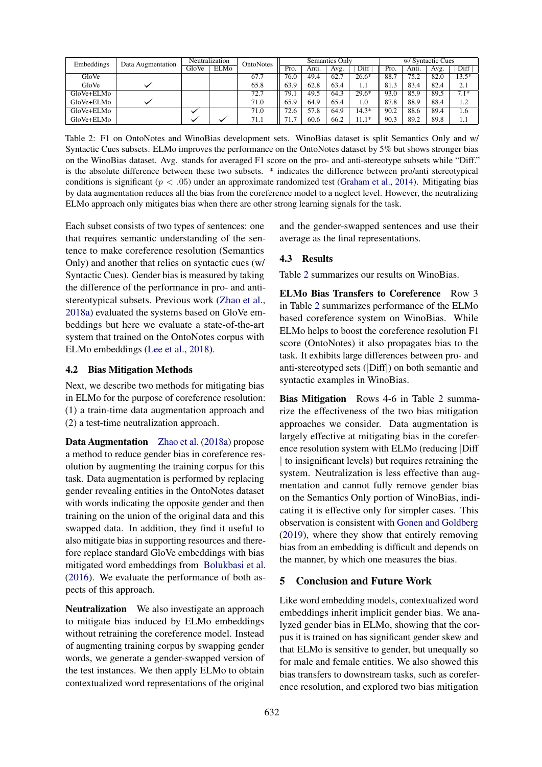<span id="page-3-0"></span>

| Embeddings      | Data Augmentation | Neutralization |             | OntoNotes | Semantics Only |       |      | w/ Syntactic Cues |      |       |      |         |
|-----------------|-------------------|----------------|-------------|-----------|----------------|-------|------|-------------------|------|-------|------|---------|
|                 |                   | GloVe          | <b>ELMo</b> |           | Pro.           | Antı. | Avg. | Diff              | Pro. | Anti. | Avg. | Diff    |
| GloVe           |                   |                |             | 67.7      | 76.0           | 49.4  | 62.7 | $26.6*$           | 88.7 | 75.2  | 82.0 | $13.5*$ |
| GloVe           |                   |                |             | 65.8      | 63.9           | 62.8  | 63.4 | 1.1               | 81.3 | 83.4  | 82.4 | 2.1     |
| GloVe+ELMo      |                   |                |             | 72.7      | 79.1           | 49.5  | 64.3 | $29.6*$           | 93.0 | 85.9  | 89.5 | $7.1*$  |
| $GloVe + EI$ Mo |                   |                |             | 71.0      | 65.9           | 64.9  | 65.4 | 1.0               | 87.8 | 88.9  | 88.4 | 1.2     |
| GloVe+ELMo      |                   |                |             | 71.0      | 72.6           | 57.8  | 64.9 | $14.3*$           | 90.2 | 88.6  | 89.4 | 1.6     |
| GloVe+ELMo      |                   |                |             | 71.1      | 71.1           | 60.6  | 66.2 | $11.1*$           | 90.3 | 89.2  | 89.8 | 1.1     |

Table 2: F1 on OntoNotes and WinoBias development sets. WinoBias dataset is split Semantics Only and w/ Syntactic Cues subsets. ELMo improves the performance on the OntoNotes dataset by 5% but shows stronger bias on the WinoBias dataset. Avg. stands for averaged F1 score on the pro- and anti-stereotype subsets while "Diff." is the absolute difference between these two subsets. \* indicates the difference between pro/anti stereotypical conditions is significant ( $p < .05$ ) under an approximate randomized test [\(Graham et al.,](#page-4-23) [2014\)](#page-4-23). Mitigating bias by data augmentation reduces all the bias from the coreference model to a neglect level. However, the neutralizing ELMo approach only mitigates bias when there are other strong learning signals for the task.

Each subset consists of two types of sentences: one that requires semantic understanding of the sentence to make coreference resolution (Semantics Only) and another that relies on syntactic cues (w/ Syntactic Cues). Gender bias is measured by taking the difference of the performance in pro- and antistereotypical subsets. Previous work [\(Zhao et al.,](#page-5-0) [2018a\)](#page-5-0) evaluated the systems based on GloVe embeddings but here we evaluate a state-of-the-art system that trained on the OntoNotes corpus with ELMo embeddings [\(Lee et al.,](#page-4-9) [2018\)](#page-4-9).

#### 4.2 Bias Mitigation Methods

Next, we describe two methods for mitigating bias in ELMo for the purpose of coreference resolution: (1) a train-time data augmentation approach and (2) a test-time neutralization approach.

Data Augmentation [Zhao et al.](#page-5-0) [\(2018a\)](#page-5-0) propose a method to reduce gender bias in coreference resolution by augmenting the training corpus for this task. Data augmentation is performed by replacing gender revealing entities in the OntoNotes dataset with words indicating the opposite gender and then training on the union of the original data and this swapped data. In addition, they find it useful to also mitigate bias in supporting resources and therefore replace standard GloVe embeddings with bias mitigated word embeddings from [Bolukbasi et al.](#page-4-7) [\(2016\)](#page-4-7). We evaluate the performance of both aspects of this approach.

Neutralization We also investigate an approach to mitigate bias induced by ELMo embeddings without retraining the coreference model. Instead of augmenting training corpus by swapping gender words, we generate a gender-swapped version of the test instances. We then apply ELMo to obtain contextualized word representations of the original and the gender-swapped sentences and use their average as the final representations.

#### 4.3 Results

Table [2](#page-3-0) summarizes our results on WinoBias.

ELMo Bias Transfers to Coreference Row 3 in Table [2](#page-3-0) summarizes performance of the ELMo based coreference system on WinoBias. While ELMo helps to boost the coreference resolution F1 score (OntoNotes) it also propagates bias to the task. It exhibits large differences between pro- and anti-stereotyped sets (|Diff|) on both semantic and syntactic examples in WinoBias.

Bias Mitigation Rows 4-6 in Table [2](#page-3-0) summarize the effectiveness of the two bias mitigation approaches we consider. Data augmentation is largely effective at mitigating bias in the coreference resolution system with ELMo (reducing |Diff | to insignificant levels) but requires retraining the system. Neutralization is less effective than augmentation and cannot fully remove gender bias on the Semantics Only portion of WinoBias, indicating it is effective only for simpler cases. This observation is consistent with [Gonen and Goldberg](#page-4-17) [\(2019\)](#page-4-17), where they show that entirely removing bias from an embedding is difficult and depends on the manner, by which one measures the bias.

### 5 Conclusion and Future Work

Like word embedding models, contextualized word embeddings inherit implicit gender bias. We analyzed gender bias in ELMo, showing that the corpus it is trained on has significant gender skew and that ELMo is sensitive to gender, but unequally so for male and female entities. We also showed this bias transfers to downstream tasks, such as coreference resolution, and explored two bias mitigation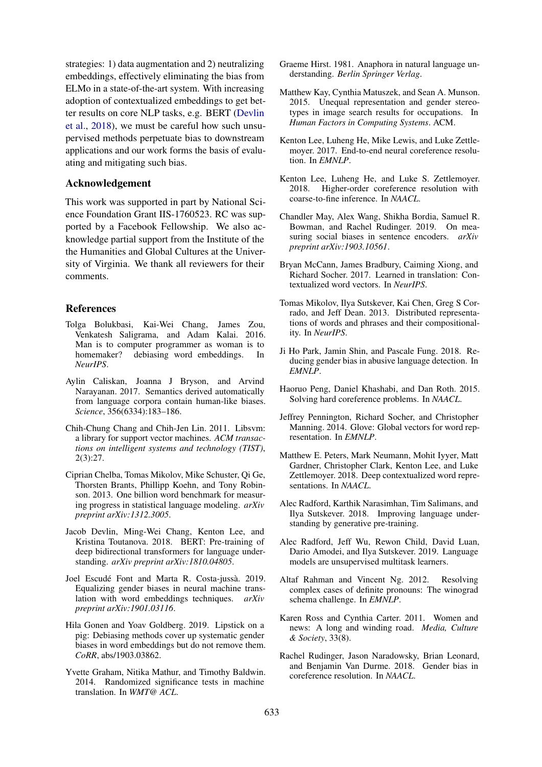strategies: 1) data augmentation and 2) neutralizing embeddings, effectively eliminating the bias from ELMo in a state-of-the-art system. With increasing adoption of contextualized embeddings to get better results on core NLP tasks, e.g. BERT [\(Devlin](#page-4-3) [et al.,](#page-4-3) [2018\)](#page-4-3), we must be careful how such unsupervised methods perpetuate bias to downstream applications and our work forms the basis of evaluating and mitigating such bias.

#### Acknowledgement

This work was supported in part by National Science Foundation Grant IIS-1760523. RC was supported by a Facebook Fellowship. We also acknowledge partial support from the Institute of the the Humanities and Global Cultures at the University of Virginia. We thank all reviewers for their comments.

### References

- <span id="page-4-7"></span>Tolga Bolukbasi, Kai-Wei Chang, James Zou, Venkatesh Saligrama, and Adam Kalai. 2016. Man is to computer programmer as woman is to homemaker? debiasing word embeddings. In *NeurIPS*.
- <span id="page-4-8"></span>Aylin Caliskan, Joanna J Bryson, and Arvind Narayanan. 2017. Semantics derived automatically from language corpora contain human-like biases. *Science*, 356(6334):183–186.
- <span id="page-4-22"></span>Chih-Chung Chang and Chih-Jen Lin. 2011. Libsvm: a library for support vector machines. *ACM transactions on intelligent systems and technology (TIST)*, 2(3):27.
- <span id="page-4-18"></span>Ciprian Chelba, Tomas Mikolov, Mike Schuster, Qi Ge, Thorsten Brants, Phillipp Koehn, and Tony Robinson. 2013. One billion word benchmark for measuring progress in statistical language modeling. *arXiv preprint arXiv:1312.3005*.
- <span id="page-4-3"></span>Jacob Devlin, Ming-Wei Chang, Kenton Lee, and Kristina Toutanova. 2018. BERT: Pre-training of deep bidirectional transformers for language understanding. *arXiv preprint arXiv:1810.04805*.
- <span id="page-4-13"></span>Joel Escudé Font and Marta R. Costa-jussà. 2019. Equalizing gender biases in neural machine translation with word embeddings techniques. *arXiv preprint arXiv:1901.03116*.
- <span id="page-4-17"></span>Hila Gonen and Yoav Goldberg. 2019. Lipstick on a pig: Debiasing methods cover up systematic gender biases in word embeddings but do not remove them. *CoRR*, abs/1903.03862.
- <span id="page-4-23"></span>Yvette Graham, Nitika Mathur, and Timothy Baldwin. 2014. Randomized significance tests in machine translation. In *WMT@ ACL*.
- <span id="page-4-19"></span>Graeme Hirst. 1981. Anaphora in natural language understanding. *Berlin Springer Verlag*.
- <span id="page-4-14"></span>Matthew Kay, Cynthia Matuszek, and Sean A. Munson. 2015. Unequal representation and gender stereotypes in image search results for occupations. In *Human Factors in Computing Systems*. ACM.
- <span id="page-4-10"></span>Kenton Lee, Luheng He, Mike Lewis, and Luke Zettlemoyer. 2017. End-to-end neural coreference resolution. In *EMNLP*.
- <span id="page-4-9"></span>Kenton Lee, Luheng He, and Luke S. Zettlemoyer. 2018. Higher-order coreference resolution with coarse-to-fine inference. In *NAACL*.
- <span id="page-4-16"></span>Chandler May, Alex Wang, Shikha Bordia, Samuel R. Bowman, and Rachel Rudinger. 2019. On measuring social biases in sentence encoders. *arXiv preprint arXiv:1903.10561*.
- <span id="page-4-5"></span>Bryan McCann, James Bradbury, Caiming Xiong, and Richard Socher. 2017. Learned in translation: Contextualized word vectors. In *NeurIPS*.
- <span id="page-4-0"></span>Tomas Mikolov, Ilya Sutskever, Kai Chen, Greg S Corrado, and Jeff Dean. 2013. Distributed representations of words and phrases and their compositionality. In *NeurIPS*.
- <span id="page-4-12"></span>Ji Ho Park, Jamin Shin, and Pascale Fung. 2018. Reducing gender bias in abusive language detection. In *EMNLP*.
- <span id="page-4-21"></span>Haoruo Peng, Daniel Khashabi, and Dan Roth. 2015. Solving hard coreference problems. In *NAACL*.
- <span id="page-4-1"></span>Jeffrey Pennington, Richard Socher, and Christopher Manning. 2014. Glove: Global vectors for word representation. In *EMNLP*.
- <span id="page-4-2"></span>Matthew E. Peters, Mark Neumann, Mohit Iyyer, Matt Gardner, Christopher Clark, Kenton Lee, and Luke Zettlemoyer. 2018. Deep contextualized word representations. In *NAACL*.
- <span id="page-4-4"></span>Alec Radford, Karthik Narasimhan, Tim Salimans, and Ilya Sutskever. 2018. Improving language understanding by generative pre-training.
- <span id="page-4-6"></span>Alec Radford, Jeff Wu, Rewon Child, David Luan, Dario Amodei, and Ilya Sutskever. 2019. Language models are unsupervised multitask learners.
- <span id="page-4-20"></span>Altaf Rahman and Vincent Ng. 2012. Resolving complex cases of definite pronouns: The winograd schema challenge. In *EMNLP*.
- <span id="page-4-11"></span>Karen Ross and Cynthia Carter. 2011. Women and news: A long and winding road. *Media, Culture & Society*, 33(8).
- <span id="page-4-15"></span>Rachel Rudinger, Jason Naradowsky, Brian Leonard, and Benjamin Van Durme. 2018. Gender bias in coreference resolution. In *NAACL*.